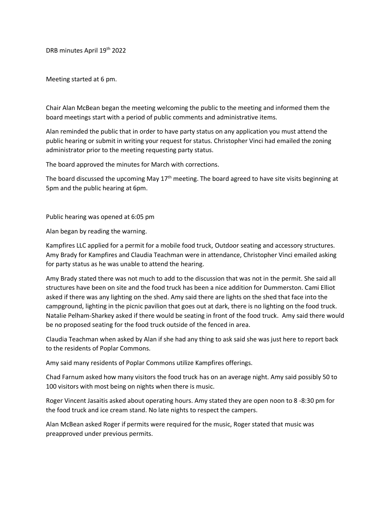DRB minutes April 19th 2022

Meeting started at 6 pm.

Chair Alan McBean began the meeting welcoming the public to the meeting and informed them the board meetings start with a period of public comments and administrative items.

Alan reminded the public that in order to have party status on any application you must attend the public hearing or submit in writing your request for status. Christopher Vinci had emailed the zoning administrator prior to the meeting requesting party status.

The board approved the minutes for March with corrections.

The board discussed the upcoming May  $17<sup>th</sup>$  meeting. The board agreed to have site visits beginning at 5pm and the public hearing at 6pm.

Public hearing was opened at 6:05 pm

Alan began by reading the warning.

Kampfires LLC applied for a permit for a mobile food truck, Outdoor seating and accessory structures. Amy Brady for Kampfires and Claudia Teachman were in attendance, Christopher Vinci emailed asking for party status as he was unable to attend the hearing.

Amy Brady stated there was not much to add to the discussion that was not in the permit. She said all structures have been on site and the food truck has been a nice addition for Dummerston. Cami Elliot asked if there was any lighting on the shed. Amy said there are lights on the shed that face into the campground, lighting in the picnic pavilion that goes out at dark, there is no lighting on the food truck. Natalie Pelham-Sharkey asked if there would be seating in front of the food truck. Amy said there would be no proposed seating for the food truck outside of the fenced in area.

Claudia Teachman when asked by Alan if she had any thing to ask said she was just here to report back to the residents of Poplar Commons.

Amy said many residents of Poplar Commons utilize Kampfires offerings.

Chad Farnum asked how many visitors the food truck has on an average night. Amy said possibly 50 to 100 visitors with most being on nights when there is music.

Roger Vincent Jasaitis asked about operating hours. Amy stated they are open noon to 8 -8:30 pm for the food truck and ice cream stand. No late nights to respect the campers.

Alan McBean asked Roger if permits were required for the music, Roger stated that music was preapproved under previous permits.